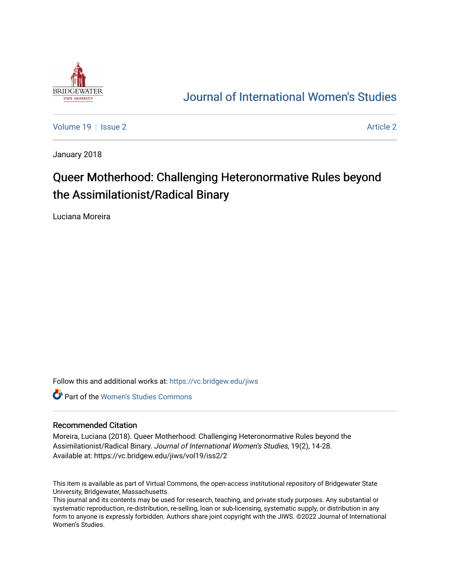

## [Journal of International Women's Studies](https://vc.bridgew.edu/jiws)

[Volume 19](https://vc.bridgew.edu/jiws/vol19) | [Issue 2](https://vc.bridgew.edu/jiws/vol19/iss2) [Article 2](https://vc.bridgew.edu/jiws/vol19/iss2/2) Article 2 Article 2 Article 2 Article 2 Article 2 Article 2 Article 2 Article 2

January 2018

# Queer Motherhood: Challenging Heteronormative Rules beyond the Assimilationist/Radical Binary

Luciana Moreira

Follow this and additional works at: [https://vc.bridgew.edu/jiws](https://vc.bridgew.edu/jiws?utm_source=vc.bridgew.edu%2Fjiws%2Fvol19%2Fiss2%2F2&utm_medium=PDF&utm_campaign=PDFCoverPages)

**C** Part of the Women's Studies Commons

#### Recommended Citation

Moreira, Luciana (2018). Queer Motherhood: Challenging Heteronormative Rules beyond the Assimilationist/Radical Binary. Journal of International Women's Studies, 19(2), 14-28. Available at: https://vc.bridgew.edu/jiws/vol19/iss2/2

This item is available as part of Virtual Commons, the open-access institutional repository of Bridgewater State University, Bridgewater, Massachusetts.

This journal and its contents may be used for research, teaching, and private study purposes. Any substantial or systematic reproduction, re-distribution, re-selling, loan or sub-licensing, systematic supply, or distribution in any form to anyone is expressly forbidden. Authors share joint copyright with the JIWS. ©2022 Journal of International Women's Studies.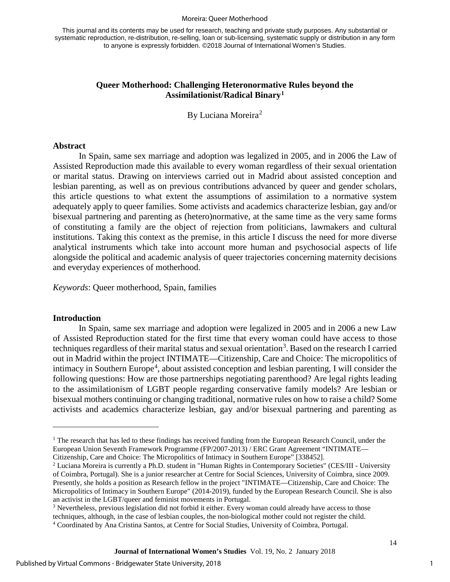#### Moreira: Queer Motherhood

This journal and its contents may be used for research, teaching and private study purposes. Any substantial or systematic reproduction, re-distribution, re-selling, loan or sub-licensing, systematic supply or distribution in any form to anyone is expressly forbidden. ©2018 Journal of International Women's Studies.

## **Queer Motherhood: Challenging Heteronormative Rules beyond the Assimilationist/Radical Binary[1](#page-1-0)**

By Luciana Moreira<sup>[2](#page-1-1)</sup>

#### **Abstract**

In Spain, same sex marriage and adoption was legalized in 2005, and in 2006 the Law of Assisted Reproduction made this available to every woman regardless of their sexual orientation or marital status. Drawing on interviews carried out in Madrid about assisted conception and lesbian parenting, as well as on previous contributions advanced by queer and gender scholars, this article questions to what extent the assumptions of assimilation to a normative system adequately apply to queer families. Some activists and academics characterize lesbian, gay and/or bisexual partnering and parenting as (hetero)normative, at the same time as the very same forms of constituting a family are the object of rejection from politicians, lawmakers and cultural institutions. Taking this context as the premise, in this article I discuss the need for more diverse analytical instruments which take into account more human and psychosocial aspects of life alongside the political and academic analysis of queer trajectories concerning maternity decisions and everyday experiences of motherhood.

*Keywords*: Queer motherhood, Spain, families

#### **Introduction**

 $\overline{a}$ 

In Spain, same sex marriage and adoption were legalized in 2005 and in 2006 a new Law of Assisted Reproduction stated for the first time that every woman could have access to those techniques regardless of their marital status and sexual orientation<sup>[3](#page-1-2)</sup>. Based on the research I carried out in Madrid within the project INTIMATE—Citizenship, Care and Choice: The micropolitics of intimacy in Southern Europe<sup>[4](#page-1-3)</sup>, about assisted conception and lesbian parenting, I will consider the following questions: How are those partnerships negotiating parenthood? Are legal rights leading to the assimilationism of LGBT people regarding conservative family models? Are lesbian or bisexual mothers continuing or changing traditional, normative rules on how to raise a child? Some activists and academics characterize lesbian, gay and/or bisexual partnering and parenting as

<span id="page-1-0"></span><sup>&</sup>lt;sup>1</sup> The research that has led to these findings has received funding from the European Research Council, under the European Union Seventh Framework Programme (FP/2007-2013) / ERC Grant Agreement "INTIMATE— Citizenship, Care and Choice: The Micropolitics of Intimacy in Southern Europe" [338452].

<span id="page-1-1"></span><sup>2</sup> Luciana Moreira is currently a Ph.D. student in "Human Rights in Contemporary Societies" (CES/III - University of Coimbra, Portugal). She is a junior researcher at Centre for Social Sciences, University of Coimbra, since 2009. Presently, she holds a position as Research fellow in the project "INTIMATE—Citizenship, Care and Choice: The Micropolitics of Intimacy in Southern Europe" (2014-2019), funded by the European Research Council. She is also an activist in the LGBT/queer and feminist movements in Portugal.

<span id="page-1-2"></span><sup>3</sup> Nevertheless, previous legislation did not forbid it either. Every woman could already have access to those techniques, although, in the case of lesbian couples, the non-biological mother could not register the child.

<span id="page-1-3"></span><sup>4</sup> Coordinated by Ana Cristina Santos, at Centre for Social Studies, University of Coimbra, Portugal.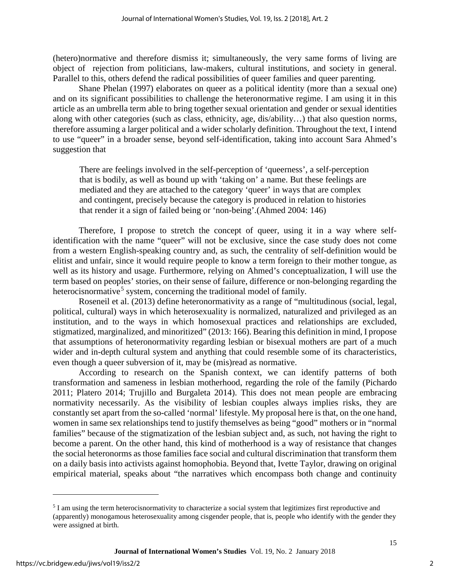(hetero)normative and therefore dismiss it; simultaneously, the very same forms of living are object of rejection from politicians, law-makers, cultural institutions, and society in general. Parallel to this, others defend the radical possibilities of queer families and queer parenting.

Shane Phelan (1997) elaborates on queer as a political identity (more than a sexual one) and on its significant possibilities to challenge the heteronormative regime. I am using it in this article as an umbrella term able to bring together sexual orientation and gender or sexual identities along with other categories (such as class, ethnicity, age, dis/ability…) that also question norms, therefore assuming a larger political and a wider scholarly definition. Throughout the text, I intend to use "queer" in a broader sense, beyond self-identification, taking into account Sara Ahmed's suggestion that

There are feelings involved in the self-perception of 'queerness', a self-perception that is bodily, as well as bound up with 'taking on' a name. But these feelings are mediated and they are attached to the category 'queer' in ways that are complex and contingent, precisely because the category is produced in relation to histories that render it a sign of failed being or 'non-being'.(Ahmed 2004: 146)

Therefore, I propose to stretch the concept of queer, using it in a way where selfidentification with the name "queer" will not be exclusive, since the case study does not come from a western English-speaking country and, as such, the centrality of self-definition would be elitist and unfair, since it would require people to know a term foreign to their mother tongue, as well as its history and usage. Furthermore, relying on Ahmed's conceptualization, I will use the term based on peoples' stories, on their sense of failure, difference or non-belonging regarding the heterocisnormative<sup>[5](#page-2-0)</sup> system, concerning the traditional model of family.

Roseneil et al. (2013) define heteronormativity as a range of "multitudinous (social, legal, political, cultural) ways in which heterosexuality is normalized, naturalized and privileged as an institution, and to the ways in which homosexual practices and relationships are excluded, stigmatized, marginalized, and minoritized" (2013: 166). Bearing this definition in mind, I propose that assumptions of heteronormativity regarding lesbian or bisexual mothers are part of a much wider and in-depth cultural system and anything that could resemble some of its characteristics, even though a queer subversion of it, may be (mis)read as normative.

According to research on the Spanish context, we can identify patterns of both transformation and sameness in lesbian motherhood, regarding the role of the family (Pichardo 2011; Platero 2014; Trujillo and Burgaleta 2014). This does not mean people are embracing normativity necessarily. As the visibility of lesbian couples always implies risks, they are constantly set apart from the so-called 'normal' lifestyle. My proposal here is that, on the one hand, women in same sex relationships tend to justify themselves as being "good" mothers or in "normal families" because of the stigmatization of the lesbian subject and, as such, not having the right to become a parent. On the other hand, this kind of motherhood is a way of resistance that changes the social heteronorms as those families face social and cultural discrimination that transform them on a daily basis into activists against homophobia. Beyond that, Ivette Taylor, drawing on original empirical material, speaks about "the narratives which encompass both change and continuity

 $\overline{a}$ 

<span id="page-2-0"></span><sup>5</sup> I am using the term heterocisnormativity to characterize a social system that legitimizes first reproductive and (apparently) monogamous heterosexuality among cisgender people, that is, people who identify with the gender they were assigned at birth.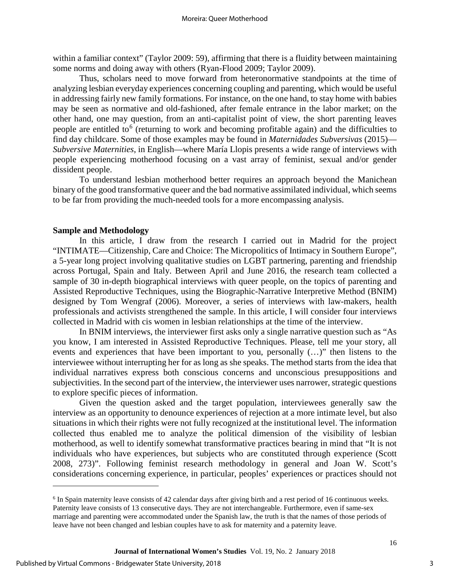within a familiar context" (Taylor 2009: 59), affirming that there is a fluidity between maintaining some norms and doing away with others (Ryan-Flood 2009; Taylor 2009).

Thus, scholars need to move forward from heteronormative standpoints at the time of analyzing lesbian everyday experiences concerning coupling and parenting, which would be useful in addressing fairly new family formations. For instance, on the one hand, to stay home with babies may be seen as normative and old-fashioned, after female entrance in the labor market; on the other hand, one may question, from an anti-capitalist point of view, the short parenting leaves people are entitled to<sup>[6](#page-3-0)</sup> (returning to work and becoming profitable again) and the difficulties to find day childcare. Some of those examples may be found in *Maternidades Subversivas* (2015)— *Subversive Maternities*, in English—where María Llopis presents a wide range of interviews with people experiencing motherhood focusing on a vast array of feminist, sexual and/or gender dissident people.

To understand lesbian motherhood better requires an approach beyond the Manichean binary of the good transformative queer and the bad normative assimilated individual, which seems to be far from providing the much-needed tools for a more encompassing analysis.

#### **Sample and Methodology**

In this article, I draw from the research I carried out in Madrid for the project "INTIMATE—Citizenship, Care and Choice: The Micropolitics of Intimacy in Southern Europe", a 5-year long project involving qualitative studies on LGBT partnering, parenting and friendship across Portugal, Spain and Italy. Between April and June 2016, the research team collected a sample of 30 in-depth biographical interviews with queer people, on the topics of parenting and Assisted Reproductive Techniques, using the Biographic-Narrative Interpretive Method (BNIM) designed by Tom Wengraf (2006). Moreover, a series of interviews with law-makers, health professionals and activists strengthened the sample. In this article, I will consider four interviews collected in Madrid with cis women in lesbian relationships at the time of the interview.

In BNIM interviews, the interviewer first asks only a single narrative question such as "As you know, I am interested in Assisted Reproductive Techniques. Please, tell me your story, all events and experiences that have been important to you, personally (…)" then listens to the interviewee without interrupting her for as long as she speaks. The method starts from the idea that individual narratives express both conscious concerns and unconscious presuppositions and subjectivities. In the second part of the interview, the interviewer uses narrower, strategic questions to explore specific pieces of information.

Given the question asked and the target population, interviewees generally saw the interview as an opportunity to denounce experiences of rejection at a more intimate level, but also situations in which their rights were not fully recognized at the institutional level. The information collected thus enabled me to analyze the political dimension of the visibility of lesbian motherhood, as well to identify somewhat transformative practices bearing in mind that "It is not individuals who have experiences, but subjects who are constituted through experience (Scott 2008, 273)". Following feminist research methodology in general and Joan W. Scott's considerations concerning experience, in particular, peoples' experiences or practices should not

 $\overline{a}$ 

3

<span id="page-3-0"></span><sup>&</sup>lt;sup>6</sup> In Spain maternity leave consists of 42 calendar days after giving birth and a rest period of 16 continuous weeks. Paternity leave consists of 13 consecutive days. They are not interchangeable. Furthermore, even if same-sex marriage and parenting were accommodated under the Spanish law, the truth is that the names of those periods of leave have not been changed and lesbian couples have to ask for maternity and a paternity leave.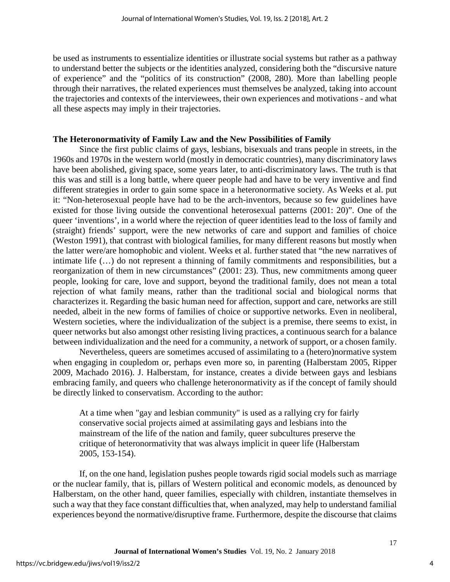be used as instruments to essentialize identities or illustrate social systems but rather as a pathway to understand better the subjects or the identities analyzed, considering both the "discursive nature of experience" and the "politics of its construction" (2008, 280). More than labelling people through their narratives, the related experiences must themselves be analyzed, taking into account the trajectories and contexts of the interviewees, their own experiences and motivations - and what all these aspects may imply in their trajectories.

## **The Heteronormativity of Family Law and the New Possibilities of Family**

Since the first public claims of gays, lesbians, bisexuals and trans people in streets, in the 1960s and 1970s in the western world (mostly in democratic countries), many discriminatory laws have been abolished, giving space, some years later, to anti-discriminatory laws. The truth is that this was and still is a long battle, where queer people had and have to be very inventive and find different strategies in order to gain some space in a heteronormative society. As Weeks et al. put it: "Non-heterosexual people have had to be the arch-inventors, because so few guidelines have existed for those living outside the conventional heterosexual patterns (2001: 20)". One of the queer 'inventions', in a world where the rejection of queer identities lead to the loss of family and (straight) friends' support, were the new networks of care and support and families of choice (Weston 1991), that contrast with biological families, for many different reasons but mostly when the latter were/are homophobic and violent. Weeks et al. further stated that "the new narratives of intimate life (…) do not represent a thinning of family commitments and responsibilities, but a reorganization of them in new circumstances" (2001: 23). Thus, new commitments among queer people, looking for care, love and support, beyond the traditional family, does not mean a total rejection of what family means, rather than the traditional social and biological norms that characterizes it. Regarding the basic human need for affection, support and care, networks are still needed, albeit in the new forms of families of choice or supportive networks. Even in neoliberal, Western societies, where the individualization of the subject is a premise, there seems to exist, in queer networks but also amongst other resisting living practices, a continuous search for a balance between individualization and the need for a community, a network of support, or a chosen family.

Nevertheless, queers are sometimes accused of assimilating to a (hetero)normative system when engaging in coupledom or, perhaps even more so, in parenting (Halberstam 2005, Ripper 2009, Machado 2016). J. Halberstam, for instance, creates a divide between gays and lesbians embracing family, and queers who challenge heteronormativity as if the concept of family should be directly linked to conservatism. According to the author:

At a time when "gay and lesbian community" is used as a rallying cry for fairly conservative social projects aimed at assimilating gays and lesbians into the mainstream of the life of the nation and family, queer subcultures preserve the critique of heteronormativity that was always implicit in queer life (Halberstam 2005, 153-154).

If, on the one hand, legislation pushes people towards rigid social models such as marriage or the nuclear family, that is, pillars of Western political and economic models, as denounced by Halberstam, on the other hand, queer families, especially with children, instantiate themselves in such a way that they face constant difficulties that, when analyzed, may help to understand familial experiences beyond the normative/disruptive frame. Furthermore, despite the discourse that claims

4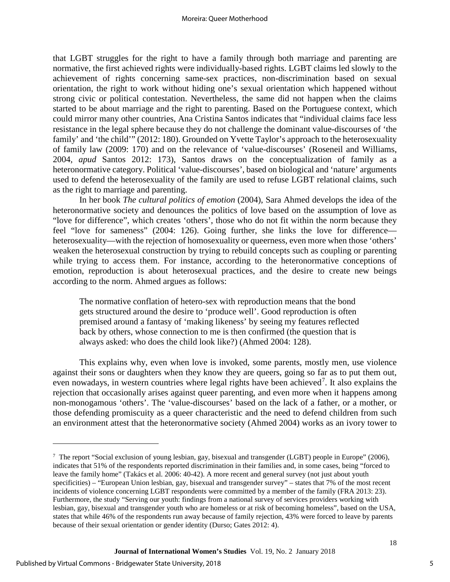that LGBT struggles for the right to have a family through both marriage and parenting are normative, the first achieved rights were individually-based rights. LGBT claims led slowly to the achievement of rights concerning same-sex practices, non-discrimination based on sexual orientation, the right to work without hiding one's sexual orientation which happened without strong civic or political contestation. Nevertheless, the same did not happen when the claims started to be about marriage and the right to parenting. Based on the Portuguese context, which could mirror many other countries, Ana Cristina Santos indicates that "individual claims face less resistance in the legal sphere because they do not challenge the dominant value-discourses of 'the family' and 'the child'" (2012: 180). Grounded on Yvette Taylor's approach to the heterosexuality of family law (2009: 170) and on the relevance of 'value-discourses' (Roseneil and Williams, 2004, *apud* Santos 2012: 173), Santos draws on the conceptualization of family as a heteronormative category. Political 'value-discourses', based on biological and 'nature' arguments used to defend the heterosexuality of the family are used to refuse LGBT relational claims, such as the right to marriage and parenting.

In her book *The cultural politics of emotion* (2004), Sara Ahmed develops the idea of the heteronormative society and denounces the politics of love based on the assumption of love as "love for difference", which creates 'others', those who do not fit within the norm because they feel "love for sameness" (2004: 126). Going further, she links the love for difference heterosexuality—with the rejection of homosexuality or queerness, even more when those 'others' weaken the heterosexual construction by trying to rebuild concepts such as coupling or parenting while trying to access them. For instance, according to the heteronormative conceptions of emotion, reproduction is about heterosexual practices, and the desire to create new beings according to the norm. Ahmed argues as follows:

The normative conflation of hetero-sex with reproduction means that the bond gets structured around the desire to 'produce well'. Good reproduction is often premised around a fantasy of 'making likeness' by seeing my features reflected back by others, whose connection to me is then confirmed (the question that is always asked: who does the child look like?) (Ahmed 2004: 128).

This explains why, even when love is invoked, some parents, mostly men, use violence against their sons or daughters when they know they are queers, going so far as to put them out, even nowadays, in western countries where legal rights have been achieved<sup>[7](#page-5-0)</sup>. It also explains the rejection that occasionally arises against queer parenting, and even more when it happens among non-monogamous 'others'. The 'value-discourses' based on the lack of a father, or a mother, or those defending promiscuity as a queer characteristic and the need to defend children from such an environment attest that the heteronormative society (Ahmed 2004) works as an ivory tower to

 $\overline{a}$ 

5

<span id="page-5-0"></span><sup>&</sup>lt;sup>7</sup> The report "Social exclusion of young lesbian, gay, bisexual and transgender (LGBT) people in Europe" (2006), indicates that 51% of the respondents reported discrimination in their families and, in some cases, being "forced to leave the family home" (Takács et al. 2006: 40-42). A more recent and general survey (not just about youth specificities) – "European Union lesbian, gay, bisexual and transgender survey" – states that 7% of the most recent incidents of violence concerning LGBT respondents were committed by a member of the family (FRA 2013: 23). Furthermore, the study "Serving our youth: findings from a national survey of services providers working with lesbian, gay, bisexual and transgender youth who are homeless or at risk of becoming homeless", based on the USA, states that while 46% of the respondents run away because of family rejection, 43% were forced to leave by parents because of their sexual orientation or gender identity (Durso; Gates 2012: 4).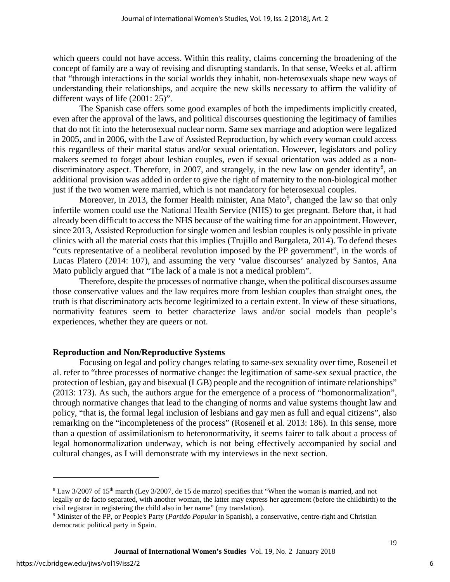which queers could not have access. Within this reality, claims concerning the broadening of the concept of family are a way of revising and disrupting standards. In that sense, Weeks et al. affirm that "through interactions in the social worlds they inhabit, non-heterosexuals shape new ways of understanding their relationships, and acquire the new skills necessary to affirm the validity of different ways of life (2001: 25)".

The Spanish case offers some good examples of both the impediments implicitly created, even after the approval of the laws, and political discourses questioning the legitimacy of families that do not fit into the heterosexual nuclear norm. Same sex marriage and adoption were legalized in 2005, and in 2006, with the Law of Assisted Reproduction, by which every woman could access this regardless of their marital status and/or sexual orientation. However, legislators and policy makers seemed to forget about lesbian couples, even if sexual orientation was added as a non-discriminatory aspect. Therefore, in 2007, and strangely, in the new law on gender identity<sup>[8](#page-6-0)</sup>, an additional provision was added in order to give the right of maternity to the non-biological mother just if the two women were married, which is not mandatory for heterosexual couples.

Moreover, in 2013, the former Health minister, Ana Mato<sup>[9](#page-6-1)</sup>, changed the law so that only infertile women could use the National Health Service (NHS) to get pregnant. Before that, it had already been difficult to access the NHS because of the waiting time for an appointment. However, since 2013, Assisted Reproduction for single women and lesbian couples is only possible in private clinics with all the material costs that this implies (Trujillo and Burgaleta, 2014). To defend theses "cuts representative of a neoliberal revolution imposed by the PP government", in the words of Lucas Platero (2014: 107), and assuming the very 'value discourses' analyzed by Santos, Ana Mato publicly argued that "The lack of a male is not a medical problem".

Therefore, despite the processes of normative change, when the political discourses assume those conservative values and the law requires more from lesbian couples than straight ones, the truth is that discriminatory acts become legitimized to a certain extent. In view of these situations, normativity features seem to better characterize laws and/or social models than people's experiences, whether they are queers or not.

#### **Reproduction and Non/Reproductive Systems**

Focusing on legal and policy changes relating to same-sex sexuality over time, Roseneil et al. refer to "three processes of normative change: the legitimation of same-sex sexual practice, the protection of lesbian, gay and bisexual (LGB) people and the recognition of intimate relationships" (2013: 173). As such, the authors argue for the emergence of a process of "homonormalization", through normative changes that lead to the changing of norms and value systems thought law and policy, "that is, the formal legal inclusion of lesbians and gay men as full and equal citizens", also remarking on the "incompleteness of the process" (Roseneil et al. 2013: 186). In this sense, more than a question of assimilationism to heteronormativity, it seems fairer to talk about a process of legal homonormalization underway, which is not being effectively accompanied by social and cultural changes, as I will demonstrate with my interviews in the next section.

 $\overline{a}$ 

6

<span id="page-6-0"></span><sup>&</sup>lt;sup>8</sup> Law 3/2007 of 15<sup>th</sup> march (Ley 3/2007, de 15 de marzo) specifies that "When the woman is married, and not legally or de facto separated, with another woman, the latter may express her agreement (before the childbirth) to the civil registrar in registering the child also in her name" (my translation).

<span id="page-6-1"></span><sup>9</sup> Minister of the PP, or People's Party (*Partido Popular* in Spanish), a conservative, centre-right and Christian democratic political party in Spain.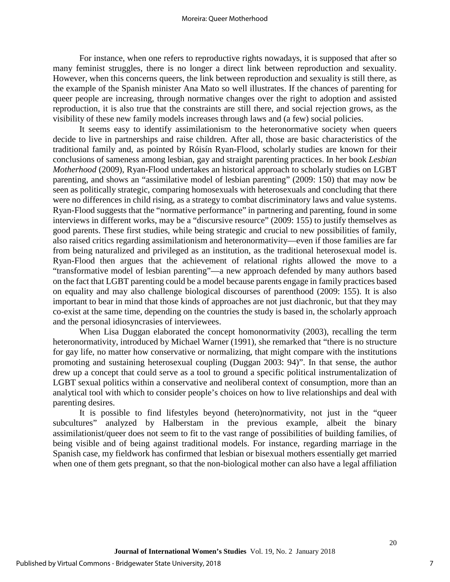#### Moreira: Queer Motherhood

For instance, when one refers to reproductive rights nowadays, it is supposed that after so many feminist struggles, there is no longer a direct link between reproduction and sexuality. However, when this concerns queers, the link between reproduction and sexuality is still there, as the example of the Spanish minister Ana Mato so well illustrates. If the chances of parenting for queer people are increasing, through normative changes over the right to adoption and assisted reproduction, it is also true that the constraints are still there, and social rejection grows, as the visibility of these new family models increases through laws and (a few) social policies.

It seems easy to identify assimilationism to the heteronormative society when queers decide to live in partnerships and raise children. After all, those are basic characteristics of the traditional family and, as pointed by Róisín Ryan-Flood, scholarly studies are known for their conclusions of sameness among lesbian, gay and straight parenting practices. In her book *Lesbian Motherhood* (2009), Ryan-Flood undertakes an historical approach to scholarly studies on LGBT parenting, and shows an "assimilative model of lesbian parenting" (2009: 150) that may now be seen as politically strategic, comparing homosexuals with heterosexuals and concluding that there were no differences in child rising, as a strategy to combat discriminatory laws and value systems. Ryan-Flood suggests that the "normative performance" in partnering and parenting, found in some interviews in different works, may be a "discursive resource" (2009: 155) to justify themselves as good parents. These first studies, while being strategic and crucial to new possibilities of family, also raised critics regarding assimilationism and heteronormativity—even if those families are far from being naturalized and privileged as an institution, as the traditional heterosexual model is. Ryan-Flood then argues that the achievement of relational rights allowed the move to a "transformative model of lesbian parenting"—a new approach defended by many authors based on the fact that LGBT parenting could be a model because parents engage in family practices based on equality and may also challenge biological discourses of parenthood (2009: 155). It is also important to bear in mind that those kinds of approaches are not just diachronic, but that they may co-exist at the same time, depending on the countries the study is based in, the scholarly approach and the personal idiosyncrasies of interviewees.

When Lisa Duggan elaborated the concept homonormativity (2003), recalling the term heteronormativity, introduced by Michael Warner (1991), she remarked that "there is no structure for gay life, no matter how conservative or normalizing, that might compare with the institutions promoting and sustaining heterosexual coupling (Duggan 2003: 94)". In that sense, the author drew up a concept that could serve as a tool to ground a specific political instrumentalization of LGBT sexual politics within a conservative and neoliberal context of consumption, more than an analytical tool with which to consider people's choices on how to live relationships and deal with parenting desires.

It is possible to find lifestyles beyond (hetero)normativity, not just in the "queer subcultures" analyzed by Halberstam in the previous example, albeit the binary assimilationist/queer does not seem to fit to the vast range of possibilities of building families, of being visible and of being against traditional models. For instance, regarding marriage in the Spanish case, my fieldwork has confirmed that lesbian or bisexual mothers essentially get married when one of them gets pregnant, so that the non-biological mother can also have a legal affiliation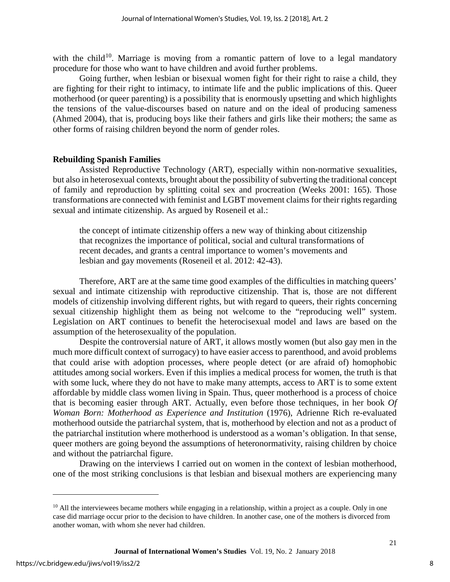with the child<sup>10</sup>. Marriage is moving from a romantic pattern of love to a legal mandatory procedure for those who want to have children and avoid further problems.

Going further, when lesbian or bisexual women fight for their right to raise a child, they are fighting for their right to intimacy, to intimate life and the public implications of this. Queer motherhood (or queer parenting) is a possibility that is enormously upsetting and which highlights the tensions of the value-discourses based on nature and on the ideal of producing sameness (Ahmed 2004), that is, producing boys like their fathers and girls like their mothers; the same as other forms of raising children beyond the norm of gender roles.

## **Rebuilding Spanish Families**

Assisted Reproductive Technology (ART), especially within non-normative sexualities, but also in heterosexual contexts, brought about the possibility of subverting the traditional concept of family and reproduction by splitting coital sex and procreation (Weeks 2001: 165). Those transformations are connected with feminist and LGBT movement claims for their rights regarding sexual and intimate citizenship. As argued by Roseneil et al.:

the concept of intimate citizenship offers a new way of thinking about citizenship that recognizes the importance of political, social and cultural transformations of recent decades, and grants a central importance to women's movements and lesbian and gay movements (Roseneil et al. 2012: 42-43).

Therefore, ART are at the same time good examples of the difficulties in matching queers' sexual and intimate citizenship with reproductive citizenship. That is, those are not different models of citizenship involving different rights, but with regard to queers, their rights concerning sexual citizenship highlight them as being not welcome to the "reproducing well" system. Legislation on ART continues to benefit the heterocisexual model and laws are based on the assumption of the heterosexuality of the population.

Despite the controversial nature of ART, it allows mostly women (but also gay men in the much more difficult context of surrogacy) to have easier access to parenthood, and avoid problems that could arise with adoption processes, where people detect (or are afraid of) homophobic attitudes among social workers. Even if this implies a medical process for women, the truth is that with some luck, where they do not have to make many attempts, access to ART is to some extent affordable by middle class women living in Spain. Thus, queer motherhood is a process of choice that is becoming easier through ART. Actually, even before those techniques, in her book *Of Woman Born: Motherhood as Experience and Institution* (1976), Adrienne Rich re-evaluated motherhood outside the patriarchal system, that is, motherhood by election and not as a product of the patriarchal institution where motherhood is understood as a woman's obligation. In that sense, queer mothers are going beyond the assumptions of heteronormativity, raising children by choice and without the patriarchal figure.

Drawing on the interviews I carried out on women in the context of lesbian motherhood, one of the most striking conclusions is that lesbian and bisexual mothers are experiencing many

 $\overline{a}$ 

<span id="page-8-0"></span> $10$  All the interviewees became mothers while engaging in a relationship, within a project as a couple. Only in one case did marriage occur prior to the decision to have children. In another case, one of the mothers is divorced from another woman, with whom she never had children.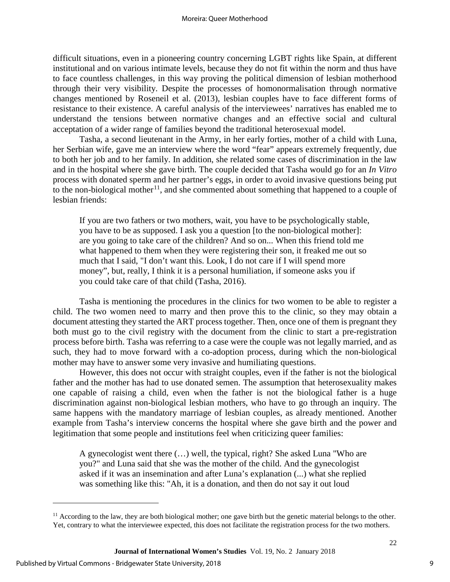difficult situations, even in a pioneering country concerning LGBT rights like Spain, at different institutional and on various intimate levels, because they do not fit within the norm and thus have to face countless challenges, in this way proving the political dimension of lesbian motherhood through their very visibility. Despite the processes of homonormalisation through normative changes mentioned by Roseneil et al. (2013), lesbian couples have to face different forms of resistance to their existence. A careful analysis of the interviewees' narratives has enabled me to understand the tensions between normative changes and an effective social and cultural acceptation of a wider range of families beyond the traditional heterosexual model.

Tasha, a second lieutenant in the Army, in her early forties, mother of a child with Luna, her Serbian wife, gave me an interview where the word "fear" appears extremely frequently, due to both her job and to her family. In addition, she related some cases of discrimination in the law and in the hospital where she gave birth. The couple decided that Tasha would go for an *In Vitro* process with donated sperm and her partner's eggs, in order to avoid invasive questions being put to the non-biological mother<sup>11</sup>, and she commented about something that happened to a couple of lesbian friends:

If you are two fathers or two mothers, wait, you have to be psychologically stable, you have to be as supposed. I ask you a question [to the non-biological mother]: are you going to take care of the children? And so on... When this friend told me what happened to them when they were registering their son, it freaked me out so much that I said, "I don't want this. Look, I do not care if I will spend more money", but, really, I think it is a personal humiliation, if someone asks you if you could take care of that child (Tasha, 2016).

Tasha is mentioning the procedures in the clinics for two women to be able to register a child. The two women need to marry and then prove this to the clinic, so they may obtain a document attesting they started the ART process together. Then, once one of them is pregnant they both must go to the civil registry with the document from the clinic to start a pre-registration process before birth. Tasha was referring to a case were the couple was not legally married, and as such, they had to move forward with a co-adoption process, during which the non-biological mother may have to answer some very invasive and humiliating questions.

However, this does not occur with straight couples, even if the father is not the biological father and the mother has had to use donated semen. The assumption that heterosexuality makes one capable of raising a child, even when the father is not the biological father is a huge discrimination against non-biological lesbian mothers, who have to go through an inquiry. The same happens with the mandatory marriage of lesbian couples, as already mentioned. Another example from Tasha's interview concerns the hospital where she gave birth and the power and legitimation that some people and institutions feel when criticizing queer families:

A gynecologist went there (…) well, the typical, right? She asked Luna "Who are you?" and Luna said that she was the mother of the child. And the gynecologist asked if it was an insemination and after Luna's explanation (...) what she replied was something like this: "Ah, it is a donation, and then do not say it out loud

 $\overline{a}$ 

<span id="page-9-0"></span> $<sup>11</sup>$  According to the law, they are both biological mother; one gave birth but the genetic material belongs to the other.</sup> Yet, contrary to what the interviewee expected, this does not facilitate the registration process for the two mothers.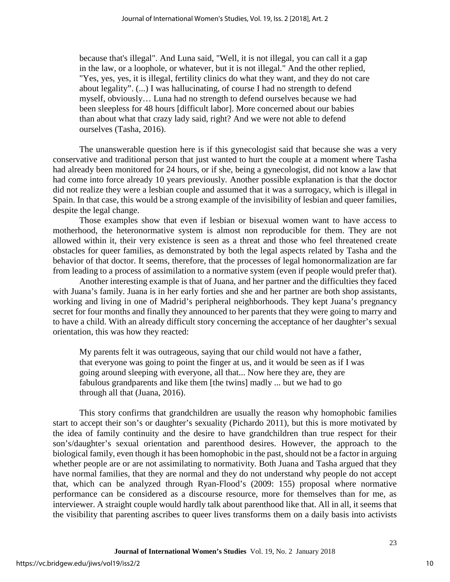because that's illegal". And Luna said, "Well, it is not illegal, you can call it a gap in the law, or a loophole, or whatever, but it is not illegal." And the other replied, "Yes, yes, yes, it is illegal, fertility clinics do what they want, and they do not care about legality". (...) I was hallucinating, of course I had no strength to defend myself, obviously… Luna had no strength to defend ourselves because we had been sleepless for 48 hours [difficult labor]. More concerned about our babies than about what that crazy lady said, right? And we were not able to defend ourselves (Tasha, 2016).

The unanswerable question here is if this gynecologist said that because she was a very conservative and traditional person that just wanted to hurt the couple at a moment where Tasha had already been monitored for 24 hours, or if she, being a gynecologist, did not know a law that had come into force already 10 years previously. Another possible explanation is that the doctor did not realize they were a lesbian couple and assumed that it was a surrogacy, which is illegal in Spain. In that case, this would be a strong example of the invisibility of lesbian and queer families, despite the legal change.

Those examples show that even if lesbian or bisexual women want to have access to motherhood, the heteronormative system is almost non reproducible for them. They are not allowed within it, their very existence is seen as a threat and those who feel threatened create obstacles for queer families, as demonstrated by both the legal aspects related by Tasha and the behavior of that doctor. It seems, therefore, that the processes of legal homonormalization are far from leading to a process of assimilation to a normative system (even if people would prefer that).

Another interesting example is that of Juana, and her partner and the difficulties they faced with Juana's family. Juana is in her early forties and she and her partner are both shop assistants, working and living in one of Madrid's peripheral neighborhoods. They kept Juana's pregnancy secret for four months and finally they announced to her parents that they were going to marry and to have a child. With an already difficult story concerning the acceptance of her daughter's sexual orientation, this was how they reacted:

My parents felt it was outrageous, saying that our child would not have a father, that everyone was going to point the finger at us, and it would be seen as if I was going around sleeping with everyone, all that... Now here they are, they are fabulous grandparents and like them [the twins] madly ... but we had to go through all that (Juana, 2016).

This story confirms that grandchildren are usually the reason why homophobic families start to accept their son's or daughter's sexuality (Pichardo 2011), but this is more motivated by the idea of family continuity and the desire to have grandchildren than true respect for their son's/daughter's sexual orientation and parenthood desires. However, the approach to the biological family, even though it has been homophobic in the past, should not be a factor in arguing whether people are or are not assimilating to normativity. Both Juana and Tasha argued that they have normal families, that they are normal and they do not understand why people do not accept that, which can be analyzed through Ryan-Flood's (2009: 155) proposal where normative performance can be considered as a discourse resource, more for themselves than for me, as interviewer. A straight couple would hardly talk about parenthood like that. All in all, it seems that the visibility that parenting ascribes to queer lives transforms them on a daily basis into activists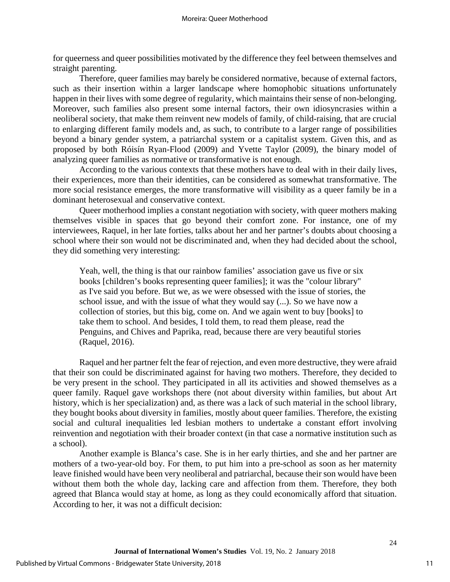for queerness and queer possibilities motivated by the difference they feel between themselves and straight parenting.

Therefore, queer families may barely be considered normative, because of external factors, such as their insertion within a larger landscape where homophobic situations unfortunately happen in their lives with some degree of regularity, which maintains their sense of non-belonging. Moreover, such families also present some internal factors, their own idiosyncrasies within a neoliberal society, that make them reinvent new models of family, of child-raising, that are crucial to enlarging different family models and, as such, to contribute to a larger range of possibilities beyond a binary gender system, a patriarchal system or a capitalist system. Given this, and as proposed by both Róisín Ryan-Flood (2009) and Yvette Taylor (2009), the binary model of analyzing queer families as normative or transformative is not enough.

According to the various contexts that these mothers have to deal with in their daily lives, their experiences, more than their identities, can be considered as somewhat transformative. The more social resistance emerges, the more transformative will visibility as a queer family be in a dominant heterosexual and conservative context.

Queer motherhood implies a constant negotiation with society, with queer mothers making themselves visible in spaces that go beyond their comfort zone. For instance, one of my interviewees, Raquel, in her late forties, talks about her and her partner's doubts about choosing a school where their son would not be discriminated and, when they had decided about the school, they did something very interesting:

Yeah, well, the thing is that our rainbow families' association gave us five or six books [children's books representing queer families]; it was the "colour library" as I've said you before. But we, as we were obsessed with the issue of stories, the school issue, and with the issue of what they would say (...). So we have now a collection of stories, but this big, come on. And we again went to buy [books] to take them to school. And besides, I told them, to read them please, read the Penguins, and Chives and Paprika, read, because there are very beautiful stories (Raquel, 2016).

Raquel and her partner felt the fear of rejection, and even more destructive, they were afraid that their son could be discriminated against for having two mothers. Therefore, they decided to be very present in the school. They participated in all its activities and showed themselves as a queer family. Raquel gave workshops there (not about diversity within families, but about Art history, which is her specialization) and, as there was a lack of such material in the school library, they bought books about diversity in families, mostly about queer families. Therefore, the existing social and cultural inequalities led lesbian mothers to undertake a constant effort involving reinvention and negotiation with their broader context (in that case a normative institution such as a school).

Another example is Blanca's case. She is in her early thirties, and she and her partner are mothers of a two-year-old boy. For them, to put him into a pre-school as soon as her maternity leave finished would have been very neoliberal and patriarchal, because their son would have been without them both the whole day, lacking care and affection from them. Therefore, they both agreed that Blanca would stay at home, as long as they could economically afford that situation. According to her, it was not a difficult decision: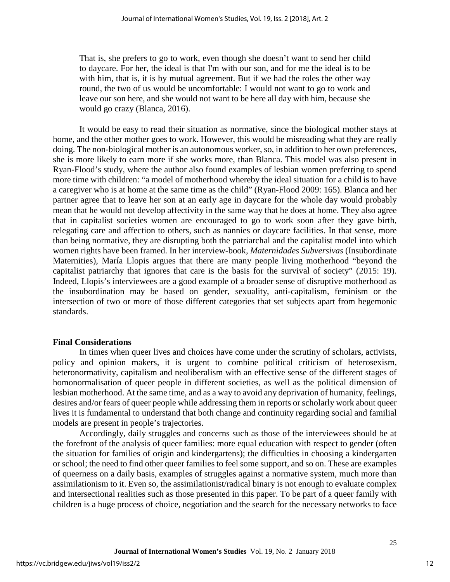That is, she prefers to go to work, even though she doesn't want to send her child to daycare. For her, the ideal is that I'm with our son, and for me the ideal is to be with him, that is, it is by mutual agreement. But if we had the roles the other way round, the two of us would be uncomfortable: I would not want to go to work and leave our son here, and she would not want to be here all day with him, because she would go crazy (Blanca, 2016).

It would be easy to read their situation as normative, since the biological mother stays at home, and the other mother goes to work. However, this would be misreading what they are really doing. The non-biological mother is an autonomous worker, so, in addition to her own preferences, she is more likely to earn more if she works more, than Blanca. This model was also present in Ryan-Flood's study, where the author also found examples of lesbian women preferring to spend more time with children: "a model of motherhood whereby the ideal situation for a child is to have a caregiver who is at home at the same time as the child" (Ryan-Flood 2009: 165). Blanca and her partner agree that to leave her son at an early age in daycare for the whole day would probably mean that he would not develop affectivity in the same way that he does at home. They also agree that in capitalist societies women are encouraged to go to work soon after they gave birth, relegating care and affection to others, such as nannies or daycare facilities. In that sense, more than being normative, they are disrupting both the patriarchal and the capitalist model into which women rights have been framed. In her interview-book, *Maternidades Subversivas* (Insubordinate Maternities), María Llopis argues that there are many people living motherhood "beyond the capitalist patriarchy that ignores that care is the basis for the survival of society" (2015: 19). Indeed, Llopis's interviewees are a good example of a broader sense of disruptive motherhood as the insubordination may be based on gender, sexuality, anti-capitalism, feminism or the intersection of two or more of those different categories that set subjects apart from hegemonic standards.

#### **Final Considerations**

In times when queer lives and choices have come under the scrutiny of scholars, activists, policy and opinion makers, it is urgent to combine political criticism of heterosexism, heteronormativity, capitalism and neoliberalism with an effective sense of the different stages of homonormalisation of queer people in different societies, as well as the political dimension of lesbian motherhood. At the same time, and as a way to avoid any deprivation of humanity, feelings, desires and/or fears of queer people while addressing them in reports or scholarly work about queer lives it is fundamental to understand that both change and continuity regarding social and familial models are present in people's trajectories.

Accordingly, daily struggles and concerns such as those of the interviewees should be at the forefront of the analysis of queer families: more equal education with respect to gender (often the situation for families of origin and kindergartens); the difficulties in choosing a kindergarten or school; the need to find other queer families to feel some support, and so on. These are examples of queerness on a daily basis, examples of struggles against a normative system, much more than assimilationism to it. Even so, the assimilationist/radical binary is not enough to evaluate complex and intersectional realities such as those presented in this paper. To be part of a queer family with children is a huge process of choice, negotiation and the search for the necessary networks to face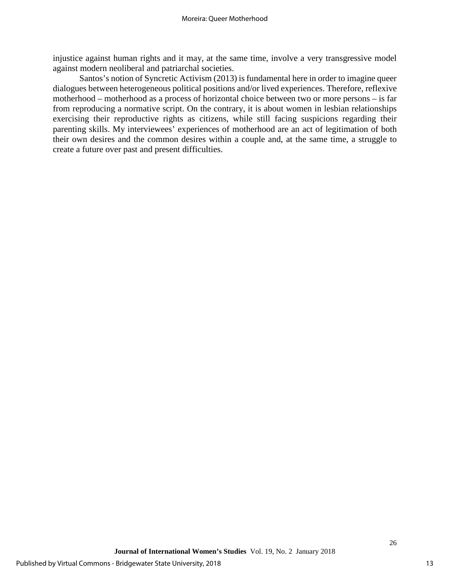injustice against human rights and it may, at the same time, involve a very transgressive model against modern neoliberal and patriarchal societies.

Santos's notion of Syncretic Activism (2013) is fundamental here in order to imagine queer dialogues between heterogeneous political positions and/or lived experiences. Therefore, reflexive motherhood – motherhood as a process of horizontal choice between two or more persons – is far from reproducing a normative script. On the contrary, it is about women in lesbian relationships exercising their reproductive rights as citizens, while still facing suspicions regarding their parenting skills. My interviewees' experiences of motherhood are an act of legitimation of both their own desires and the common desires within a couple and, at the same time, a struggle to create a future over past and present difficulties.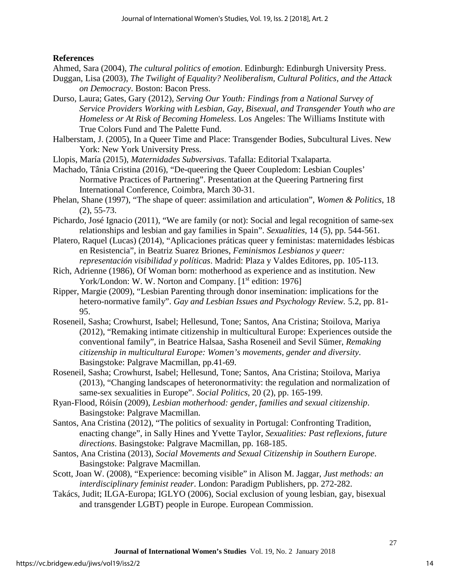## **References**

Ahmed, Sara (2004), *The cultural politics of emotion*. Edinburgh: Edinburgh University Press.

- Duggan, Lisa (2003), *The Twilight of Equality? Neoliberalism, Cultural Politics, and the Attack on Democracy*. Boston: Bacon Press.
- Durso, Laura; Gates, Gary (2012), *Serving Our Youth: Findings from a National Survey of Service Providers Working with Lesbian, Gay, Bisexual, and Transgender Youth who are Homeless or At Risk of Becoming Homeless*. Los Angeles: The Williams Institute with True Colors Fund and The Palette Fund.
- Halberstam, J. (2005), In a Queer Time and Place: Transgender Bodies, Subcultural Lives. New York: New York University Press.
- Llopis, María (2015), *Maternidades Subversivas*. Tafalla: Editorial Txalaparta.
- Machado, Tânia Cristina (2016), "De-queering the Queer Coupledom: Lesbian Couples' Normative Practices of Partnering". Presentation at the Queering Partnering first International Conference, Coimbra, March 30-31.
- Phelan, Shane (1997), "The shape of queer: assimilation and articulation", *Women & Politics*, 18 (2), 55-73.
- Pichardo, José Ignacio (2011), "We are family (or not): Social and legal recognition of same-sex relationships and lesbian and gay families in Spain". *Sexualities,* 14 (5), pp. 544-561.
- Platero, Raquel (Lucas) (2014), "Aplicaciones práticas queer y feministas: maternidades lésbicas en Resistencia", in Beatriz Suarez Briones, *Feminismos Lesbianos y queer: representación visibilidad y políticas*. Madrid: Plaza y Valdes Editores, pp. 105-113.
- Rich, Adrienne (1986), Of Woman born: motherhood as experience and as institution. New York/London: W. W. Norton and Company. [1<sup>st</sup> edition: 1976]
- Ripper, Margie (2009), "Lesbian Parenting through donor insemination: implications for the hetero-normative family". *Gay and Lesbian Issues and Psychology Review.* 5.2, pp. 81- 95.
- Roseneil, Sasha; Crowhurst, Isabel; Hellesund, Tone; Santos, Ana Cristina; Stoilova, Mariya (2012), "Remaking intimate citizenship in multicultural Europe: Experiences outside the conventional family", in Beatrice Halsaa, Sasha Roseneil and Sevil Sümer, *Remaking citizenship in multicultural Europe: Women's movements, gender and diversity*. Basingstoke: Palgrave Macmillan, pp.41-69.
- Roseneil, Sasha; Crowhurst, Isabel; Hellesund, Tone; Santos, Ana Cristina; Stoilova, Mariya (2013), "Changing landscapes of heteronormativity: the regulation and normalization of same-sex sexualities in Europe". *Social Politics*, 20 (2), pp. 165-199.
- Ryan-Flood, Róisín (2009), *Lesbian motherhood: gender, families and sexual citizenship*. Basingstoke: Palgrave Macmillan.
- Santos, Ana Cristina (2012), "The politics of sexuality in Portugal: Confronting Tradition, enacting change", in Sally Hines and Yvette Taylor, *Sexualities: Past reflexions, future directions*. Basingstoke: Palgrave Macmillan, pp. 168-185.
- Santos, Ana Cristina (2013), *Social Movements and Sexual Citizenship in Southern Europe*. Basingstoke: Palgrave Macmillan.
- Scott, Joan W. (2008), "Experience: becoming visible" in Alison M. Jaggar, *Just methods: an interdisciplinary feminist reader*. London: Paradigm Publishers, pp. 272-282.
- Takács, Judit; ILGA-Europa; IGLYO (2006), Social exclusion of young lesbian, gay, bisexual and transgender LGBT) people in Europe. European Commission.